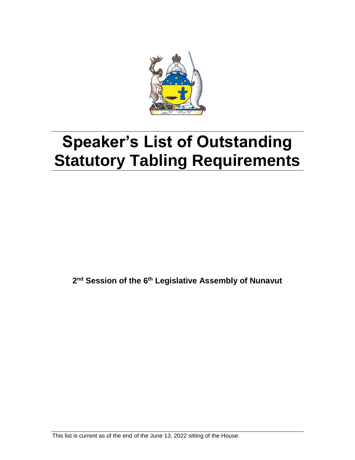

# **Speaker's List of Outstanding Statutory Tabling Requirements**

**2 nd Session of the 6 th Legislative Assembly of Nunavut**

This list is current as of the end of the June 13, 2022 sitting of the House.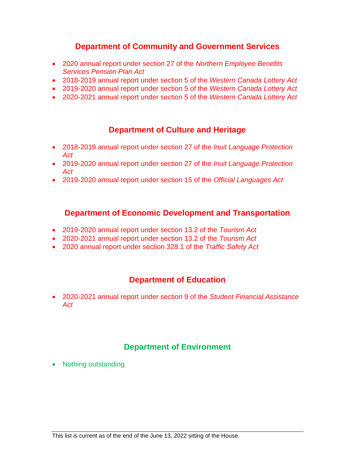## **Department of Community and Government Services**

- 2020 annual report under section 27 of the *Northern Employee Benefits Services Pension Plan Act*
- 2018-2019 annual report under section 5 of the *Western Canada Lottery Act*
- 2019-2020 annual report under section 5 of the *Western Canada Lottery Act*
- 2020-2021 annual report under section 5 of the *Western Canada Lottery Act*

## **Department of Culture and Heritage**

- 2018-2019 annual report under section 27 of the *Inuit Language Protection Act*
- 2019-2020 annual report under section 27 of the *Inuit Language Protection Act*
- 2019-2020 annual report under section 15 of the *Official Languages Act*

#### **Department of Economic Development and Transportation**

- 2019-2020 annual report under section 13.2 of the *Tourism Act*
- 2020-2021 annual report under section 13.2 of the *Tourism Act*
- 2020 annual report under section 328.1 of the *Traffic Safety Act*

## **Department of Education**

 2020-2021 annual report under section 9 of the *Student Financial Assistance Act*

# **Department of Environment**

• Nothing outstanding.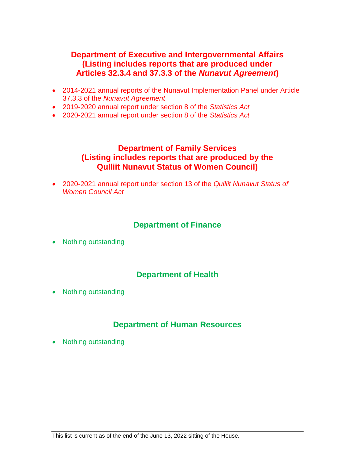#### **Department of Executive and Intergovernmental Affairs (Listing includes reports that are produced under Articles 32.3.4 and 37.3.3 of the** *Nunavut Agreement***)**

- 2014-2021 annual reports of the Nunavut Implementation Panel under Article 37.3.3 of the *Nunavut Agreement*
- 2019-2020 annual report under section 8 of the *Statistics Act*
- 2020-2021 annual report under section 8 of the *Statistics Act*

#### **Department of Family Services (Listing includes reports that are produced by the Qulliit Nunavut Status of Women Council)**

 2020-2021 annual report under section 13 of the *Qulliit Nunavut Status of Women Council Act*

## **Department of Finance**

• Nothing outstanding

## **Department of Health**

• Nothing outstanding

## **Department of Human Resources**

• Nothing outstanding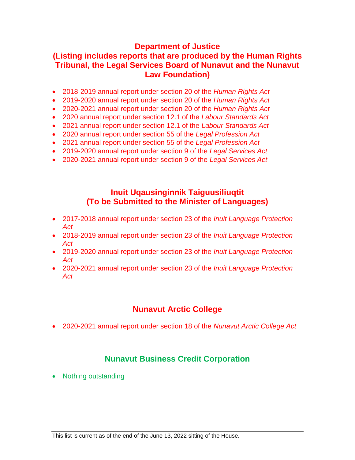#### **Department of Justice**

## **(Listing includes reports that are produced by the Human Rights Tribunal, the Legal Services Board of Nunavut and the Nunavut Law Foundation)**

- 2018-2019 annual report under section 20 of the *Human Rights Act*
- 2019-2020 annual report under section 20 of the *Human Rights Act*
- 2020-2021 annual report under section 20 of the *Human Rights Act*
- 2020 annual report under section 12.1 of the *Labour Standards Act*
- 2021 annual report under section 12.1 of the *Labour Standards Act*
- 2020 annual report under section 55 of the *Legal Profession Act*
- 2021 annual report under section 55 of the *Legal Profession Act*
- 2019-2020 annual report under section 9 of the *Legal Services Act*
- 2020-2021 annual report under section 9 of the *Legal Services Act*

#### **Inuit Uqausinginnik Taiguusiliuqtit (To be Submitted to the Minister of Languages)**

- 2017-2018 annual report under section 23 of the *Inuit Language Protection Act*
- 2018-2019 annual report under section 23 of the *Inuit Language Protection Act*
- 2019-2020 annual report under section 23 of the *Inuit Language Protection Act*
- 2020-2021 annual report under section 23 of the *Inuit Language Protection Act*

## **Nunavut Arctic College**

2020-2021 annual report under section 18 of the *Nunavut Arctic College Act*

## **Nunavut Business Credit Corporation**

• Nothing outstanding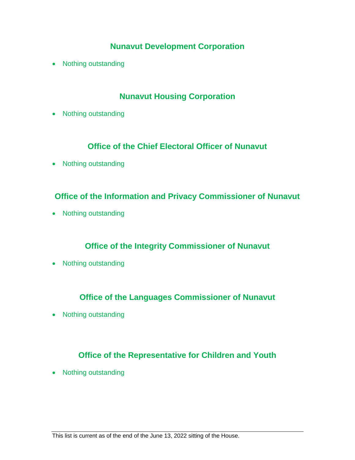## **Nunavut Development Corporation**

• Nothing outstanding

## **Nunavut Housing Corporation**

• Nothing outstanding

## **Office of the Chief Electoral Officer of Nunavut**

• Nothing outstanding

## **Office of the Information and Privacy Commissioner of Nunavut**

• Nothing outstanding

# **Office of the Integrity Commissioner of Nunavut**

• Nothing outstanding

## **Office of the Languages Commissioner of Nunavut**

• Nothing outstanding

# **Office of the Representative for Children and Youth**

• Nothing outstanding